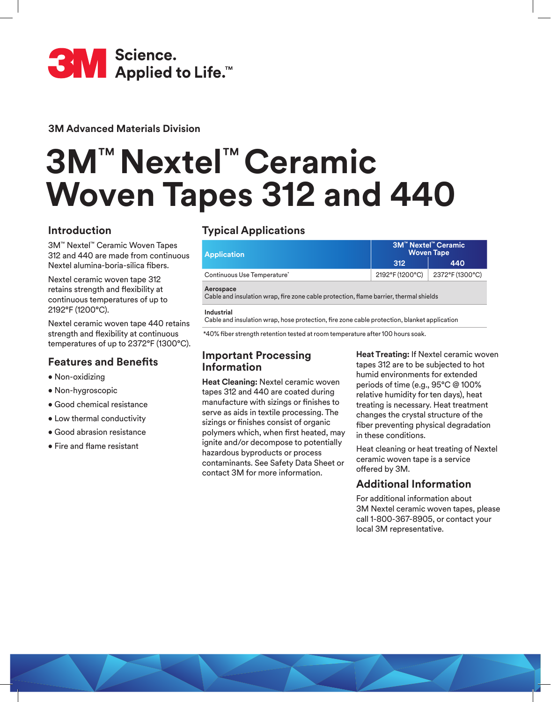

**3M Advanced Materials Division**

# **3M**™ **Nextel**™ **Ceramic Woven Tapes 312 and 440**

# **Introduction**

3M™ Nextel™ Ceramic Woven Tapes 312 and 440 are made from continuous Nextel alumina-boria-silica fibers.

Nextel ceramic woven tape 312 retains strength and flexibility at continuous temperatures of up to 2192°F (1200°C).

Nextel ceramic woven tape 440 retains strength and flexibility at continuous temperatures of up to 2372°F (1300°C).

# **Features and Benefits**

- Non-oxidizing
- Non-hygroscopic
- Good chemical resistance
- Low thermal conductivity
- Good abrasion resistance
- Fire and flame resistant

# **Typical Applications**

| <b>Application</b>                                                                                 | <b>3M™ Nextel™ Ceramic</b><br><b>Woven Tape</b> |                 |  |  |
|----------------------------------------------------------------------------------------------------|-------------------------------------------------|-----------------|--|--|
|                                                                                                    | 312                                             | 440             |  |  |
| Continuous Use Temperature*                                                                        | 2192°F (1200°C)                                 | 2372°F (1300°C) |  |  |
| Aerospace<br>Cable and insulation wrap, fire zone cable protection, flame barrier, thermal shields |                                                 |                 |  |  |

### **Industrial**

Cable and insulation wrap, hose protection, fire zone cable protection, blanket application

\*40% fiber strength retention tested at room temperature after 100 hours soak.

# **Important Processing Information**

**Heat Cleaning:** Nextel ceramic woven tapes 312 and 440 are coated during manufacture with sizings or finishes to serve as aids in textile processing. The sizings or finishes consist of organic polymers which, when first heated, may ignite and/or decompose to potentially hazardous byproducts or process contaminants. See Safety Data Sheet or contact 3M for more information.

**Heat Treating:** If Nextel ceramic woven tapes 312 are to be subjected to hot humid environments for extended periods of time (e.g., 95°C @ 100% relative humidity for ten days), heat treating is necessary. Heat treatment changes the crystal structure of the fiber preventing physical degradation in these conditions.

Heat cleaning or heat treating of Nextel ceramic woven tape is a service offered by 3M.

# **Additional Information**

For additional information about 3M Nextel ceramic woven tapes, please call 1-800-367-8905, or contact your local 3M representative.